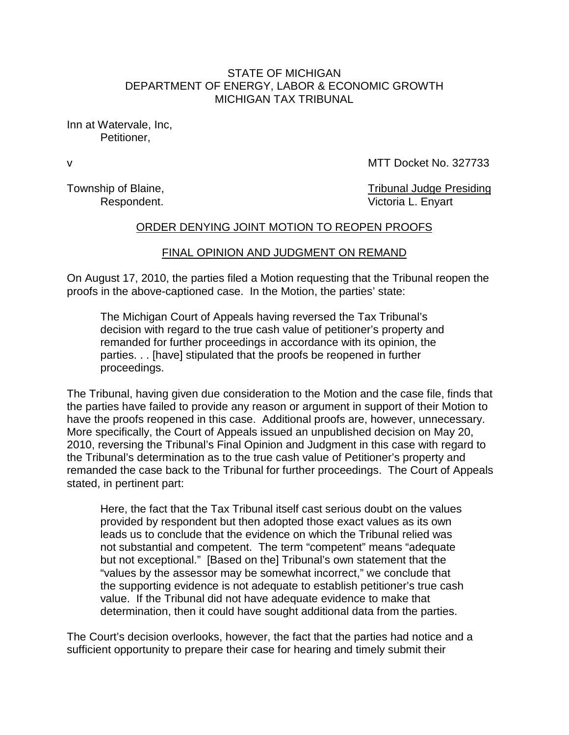## STATE OF MICHIGAN DEPARTMENT OF ENERGY, LABOR & ECONOMIC GROWTH MICHIGAN TAX TRIBUNAL

Inn at Watervale, Inc, Petitioner,

v MTT Docket No. 327733

Township of Blaine, Township of Blaine, Respondent. **Victoria L. Enyart** 

## ORDER DENYING JOINT MOTION TO REOPEN PROOFS

## FINAL OPINION AND JUDGMENT ON REMAND

On August 17, 2010, the parties filed a Motion requesting that the Tribunal reopen the proofs in the above-captioned case. In the Motion, the parties' state:

The Michigan Court of Appeals having reversed the Tax Tribunal's decision with regard to the true cash value of petitioner's property and remanded for further proceedings in accordance with its opinion, the parties. . . [have] stipulated that the proofs be reopened in further proceedings.

The Tribunal, having given due consideration to the Motion and the case file, finds that the parties have failed to provide any reason or argument in support of their Motion to have the proofs reopened in this case. Additional proofs are, however, unnecessary. More specifically, the Court of Appeals issued an unpublished decision on May 20, 2010, reversing the Tribunal's Final Opinion and Judgment in this case with regard to the Tribunal's determination as to the true cash value of Petitioner's property and remanded the case back to the Tribunal for further proceedings. The Court of Appeals stated, in pertinent part:

Here, the fact that the Tax Tribunal itself cast serious doubt on the values provided by respondent but then adopted those exact values as its own leads us to conclude that the evidence on which the Tribunal relied was not substantial and competent. The term "competent" means "adequate but not exceptional." [Based on the] Tribunal's own statement that the "values by the assessor may be somewhat incorrect," we conclude that the supporting evidence is not adequate to establish petitioner's true cash value. If the Tribunal did not have adequate evidence to make that determination, then it could have sought additional data from the parties.

The Court's decision overlooks, however, the fact that the parties had notice and a sufficient opportunity to prepare their case for hearing and timely submit their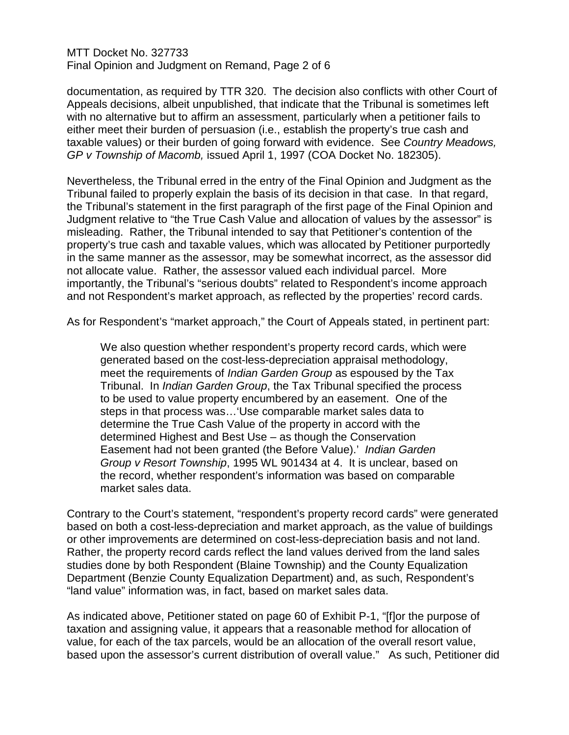MTT Docket No. 327733 Final Opinion and Judgment on Remand, Page 2 of 6

documentation, as required by TTR 320. The decision also conflicts with other Court of Appeals decisions, albeit unpublished, that indicate that the Tribunal is sometimes left with no alternative but to affirm an assessment, particularly when a petitioner fails to either meet their burden of persuasion (i.e., establish the property's true cash and taxable values) or their burden of going forward with evidence. See *Country Meadows, GP v Township of Macomb,* issued April 1, 1997 (COA Docket No. 182305).

Nevertheless, the Tribunal erred in the entry of the Final Opinion and Judgment as the Tribunal failed to properly explain the basis of its decision in that case. In that regard, the Tribunal's statement in the first paragraph of the first page of the Final Opinion and Judgment relative to "the True Cash Value and allocation of values by the assessor" is misleading. Rather, the Tribunal intended to say that Petitioner's contention of the property's true cash and taxable values, which was allocated by Petitioner purportedly in the same manner as the assessor, may be somewhat incorrect, as the assessor did not allocate value. Rather, the assessor valued each individual parcel. More importantly, the Tribunal's "serious doubts" related to Respondent's income approach and not Respondent's market approach, as reflected by the properties' record cards.

As for Respondent's "market approach," the Court of Appeals stated, in pertinent part:

We also question whether respondent's property record cards, which were generated based on the cost-less-depreciation appraisal methodology, meet the requirements of *Indian Garden Group* as espoused by the Tax Tribunal. In *Indian Garden Group*, the Tax Tribunal specified the process to be used to value property encumbered by an easement. One of the steps in that process was…'Use comparable market sales data to determine the True Cash Value of the property in accord with the determined Highest and Best Use – as though the Conservation Easement had not been granted (the Before Value).' *Indian Garden Group v Resort Township*, 1995 WL 901434 at 4. It is unclear, based on the record, whether respondent's information was based on comparable market sales data.

Contrary to the Court's statement, "respondent's property record cards" were generated based on both a cost-less-depreciation and market approach, as the value of buildings or other improvements are determined on cost-less-depreciation basis and not land. Rather, the property record cards reflect the land values derived from the land sales studies done by both Respondent (Blaine Township) and the County Equalization Department (Benzie County Equalization Department) and, as such, Respondent's "land value" information was, in fact, based on market sales data.

As indicated above, Petitioner stated on page 60 of Exhibit P-1, "[f]or the purpose of taxation and assigning value, it appears that a reasonable method for allocation of value, for each of the tax parcels, would be an allocation of the overall resort value, based upon the assessor's current distribution of overall value." As such, Petitioner did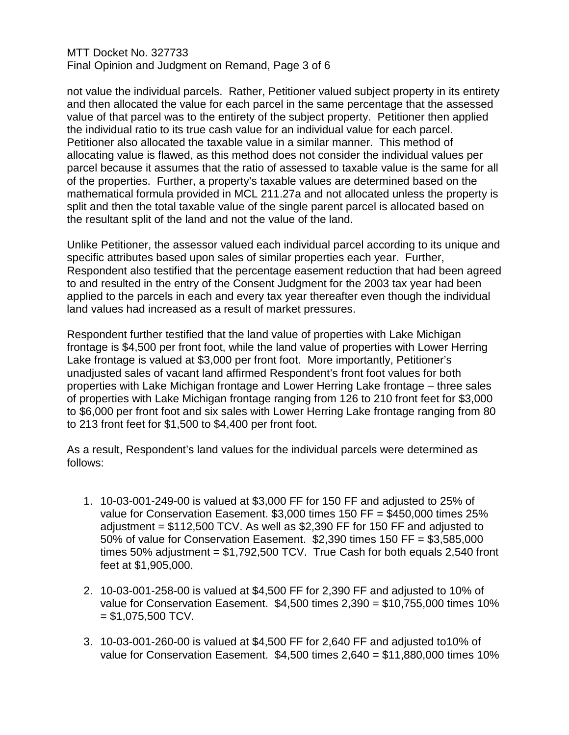## MTT Docket No. 327733 Final Opinion and Judgment on Remand, Page 3 of 6

not value the individual parcels. Rather, Petitioner valued subject property in its entirety and then allocated the value for each parcel in the same percentage that the assessed value of that parcel was to the entirety of the subject property. Petitioner then applied the individual ratio to its true cash value for an individual value for each parcel. Petitioner also allocated the taxable value in a similar manner. This method of allocating value is flawed, as this method does not consider the individual values per parcel because it assumes that the ratio of assessed to taxable value is the same for all of the properties. Further, a property's taxable values are determined based on the mathematical formula provided in MCL 211.27a and not allocated unless the property is split and then the total taxable value of the single parent parcel is allocated based on the resultant split of the land and not the value of the land.

Unlike Petitioner, the assessor valued each individual parcel according to its unique and specific attributes based upon sales of similar properties each year. Further, Respondent also testified that the percentage easement reduction that had been agreed to and resulted in the entry of the Consent Judgment for the 2003 tax year had been applied to the parcels in each and every tax year thereafter even though the individual land values had increased as a result of market pressures.

Respondent further testified that the land value of properties with Lake Michigan frontage is \$4,500 per front foot, while the land value of properties with Lower Herring Lake frontage is valued at \$3,000 per front foot. More importantly, Petitioner's unadjusted sales of vacant land affirmed Respondent's front foot values for both properties with Lake Michigan frontage and Lower Herring Lake frontage – three sales of properties with Lake Michigan frontage ranging from 126 to 210 front feet for \$3,000 to \$6,000 per front foot and six sales with Lower Herring Lake frontage ranging from 80 to 213 front feet for \$1,500 to \$4,400 per front foot.

As a result, Respondent's land values for the individual parcels were determined as follows:

- 1. 10-03-001-249-00 is valued at \$3,000 FF for 150 FF and adjusted to 25% of value for Conservation Easement. \$3,000 times 150 FF = \$450,000 times 25% adjustment = \$112,500 TCV. As well as \$2,390 FF for 150 FF and adjusted to 50% of value for Conservation Easement. \$2,390 times 150 FF = \$3,585,000 times 50% adjustment =  $$1,792,500$  TCV. True Cash for both equals 2,540 front feet at \$1,905,000.
- 2. 10-03-001-258-00 is valued at \$4,500 FF for 2,390 FF and adjusted to 10% of value for Conservation Easement. \$4,500 times 2,390 = \$10,755,000 times 10%  $= $1,075,500$  TCV.
- 3. 10-03-001-260-00 is valued at \$4,500 FF for 2,640 FF and adjusted to10% of value for Conservation Easement. \$4,500 times 2,640 = \$11,880,000 times 10%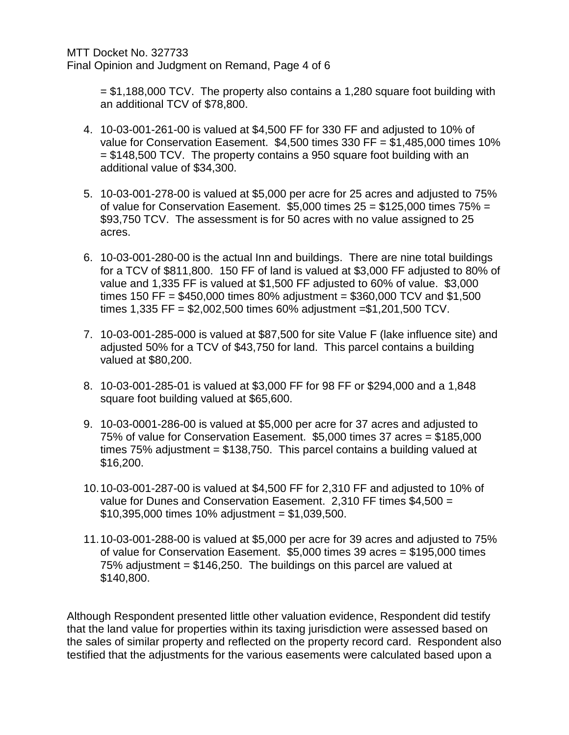= \$1,188,000 TCV. The property also contains a 1,280 square foot building with an additional TCV of \$78,800.

- 4. 10-03-001-261-00 is valued at \$4,500 FF for 330 FF and adjusted to 10% of value for Conservation Easement. \$4,500 times 330 FF = \$1,485,000 times 10%  $=$  \$148,500 TCV. The property contains a 950 square foot building with an additional value of \$34,300.
- 5. 10-03-001-278-00 is valued at \$5,000 per acre for 25 acres and adjusted to 75% of value for Conservation Easement.  $$5,000$  times  $25 = $125,000$  times  $75\% =$ \$93,750 TCV. The assessment is for 50 acres with no value assigned to 25 acres.
- 6. 10-03-001-280-00 is the actual Inn and buildings. There are nine total buildings for a TCV of \$811,800. 150 FF of land is valued at \$3,000 FF adjusted to 80% of value and 1,335 FF is valued at \$1,500 FF adjusted to 60% of value. \$3,000 times 150 FF =  $$450,000$  times 80% adjustment =  $$360,000$  TCV and \$1,500 times 1,335 FF = \$2,002,500 times 60% adjustment =\$1,201,500 TCV.
- 7. 10-03-001-285-000 is valued at \$87,500 for site Value F (lake influence site) and adjusted 50% for a TCV of \$43,750 for land. This parcel contains a building valued at \$80,200.
- 8. 10-03-001-285-01 is valued at \$3,000 FF for 98 FF or \$294,000 and a 1,848 square foot building valued at \$65,600.
- 9. 10-03-0001-286-00 is valued at \$5,000 per acre for 37 acres and adjusted to 75% of value for Conservation Easement. \$5,000 times 37 acres = \$185,000 times 75% adjustment = \$138,750. This parcel contains a building valued at \$16,200.
- 10.10-03-001-287-00 is valued at \$4,500 FF for 2,310 FF and adjusted to 10% of value for Dunes and Conservation Easement. 2,310 FF times \$4,500 =  $$10,395,000$  times  $10\%$  adjustment = \$1,039,500.
- 11.10-03-001-288-00 is valued at \$5,000 per acre for 39 acres and adjusted to 75% of value for Conservation Easement. \$5,000 times 39 acres = \$195,000 times 75% adjustment = \$146,250. The buildings on this parcel are valued at \$140,800.

Although Respondent presented little other valuation evidence, Respondent did testify that the land value for properties within its taxing jurisdiction were assessed based on the sales of similar property and reflected on the property record card. Respondent also testified that the adjustments for the various easements were calculated based upon a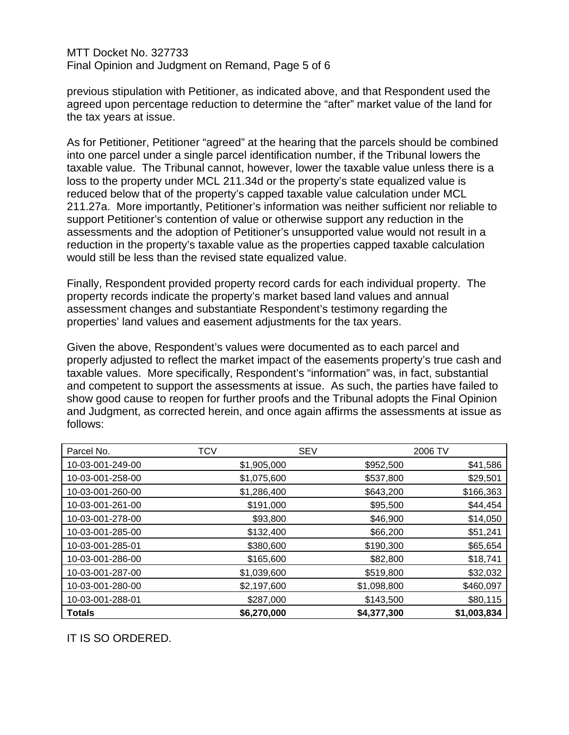MTT Docket No. 327733 Final Opinion and Judgment on Remand, Page 5 of 6

previous stipulation with Petitioner, as indicated above, and that Respondent used the agreed upon percentage reduction to determine the "after" market value of the land for the tax years at issue.

As for Petitioner, Petitioner "agreed" at the hearing that the parcels should be combined into one parcel under a single parcel identification number, if the Tribunal lowers the taxable value. The Tribunal cannot, however, lower the taxable value unless there is a loss to the property under MCL 211.34d or the property's state equalized value is reduced below that of the property's capped taxable value calculation under MCL 211.27a. More importantly, Petitioner's information was neither sufficient nor reliable to support Petitioner's contention of value or otherwise support any reduction in the assessments and the adoption of Petitioner's unsupported value would not result in a reduction in the property's taxable value as the properties capped taxable calculation would still be less than the revised state equalized value.

Finally, Respondent provided property record cards for each individual property. The property records indicate the property's market based land values and annual assessment changes and substantiate Respondent's testimony regarding the properties' land values and easement adjustments for the tax years.

Given the above, Respondent's values were documented as to each parcel and properly adjusted to reflect the market impact of the easements property's true cash and taxable values. More specifically, Respondent's "information" was, in fact, substantial and competent to support the assessments at issue. As such, the parties have failed to show good cause to reopen for further proofs and the Tribunal adopts the Final Opinion and Judgment, as corrected herein, and once again affirms the assessments at issue as follows:

| Parcel No.       | <b>TCV</b>  | <b>SEV</b>  | 2006 TV     |
|------------------|-------------|-------------|-------------|
| 10-03-001-249-00 | \$1,905,000 | \$952,500   | \$41,586    |
| 10-03-001-258-00 | \$1,075,600 | \$537,800   | \$29,501    |
| 10-03-001-260-00 | \$1,286,400 | \$643,200   | \$166,363   |
| 10-03-001-261-00 | \$191,000   | \$95,500    | \$44,454    |
| 10-03-001-278-00 | \$93,800    | \$46,900    | \$14,050    |
| 10-03-001-285-00 | \$132,400   | \$66,200    | \$51,241    |
| 10-03-001-285-01 | \$380,600   | \$190,300   | \$65,654    |
| 10-03-001-286-00 | \$165,600   | \$82,800    | \$18,741    |
| 10-03-001-287-00 | \$1,039,600 | \$519,800   | \$32,032    |
| 10-03-001-280-00 | \$2,197,600 | \$1,098,800 | \$460,097   |
| 10-03-001-288-01 | \$287,000   | \$143,500   | \$80,115    |
| <b>Totals</b>    | \$6,270,000 | \$4,377,300 | \$1,003,834 |

IT IS SO ORDERED.